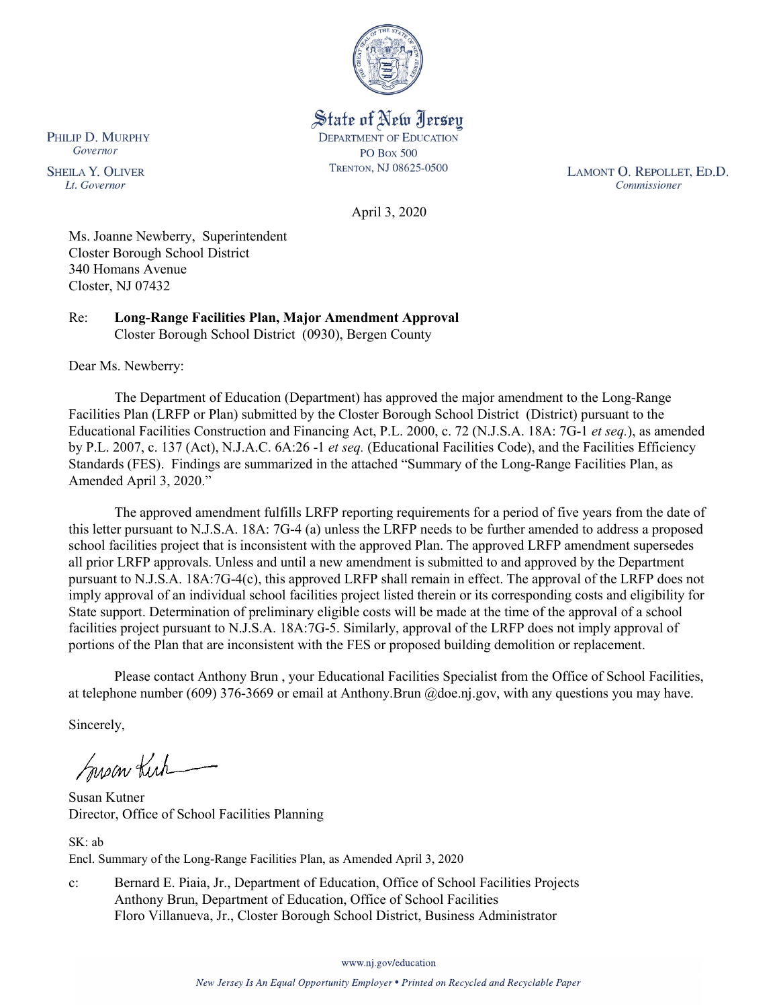

State of New Jersey **DEPARTMENT OF EDUCATION PO Box 500** TRENTON, NJ 08625-0500

LAMONT O. REPOLLET, ED.D. Commissioner

April 3, 2020

Ms. Joanne Newberry, Superintendent Closter Borough School District 340 Homans Avenue Closter, NJ 07432

Re: **Long-Range Facilities Plan, Major Amendment Approval** Closter Borough School District (0930), Bergen County

Dear Ms. Newberry:

PHILIP D. MURPHY Governor

**SHEILA Y. OLIVER** 

Lt. Governor

The Department of Education (Department) has approved the major amendment to the Long-Range Facilities Plan (LRFP or Plan) submitted by the Closter Borough School District (District) pursuant to the Educational Facilities Construction and Financing Act, P.L. 2000, c. 72 (N.J.S.A. 18A: 7G-1 *et seq.*), as amended by P.L. 2007, c. 137 (Act), N.J.A.C. 6A:26 -1 *et seq.* (Educational Facilities Code), and the Facilities Efficiency Standards (FES). Findings are summarized in the attached "Summary of the Long-Range Facilities Plan, as Amended April 3, 2020."

The approved amendment fulfills LRFP reporting requirements for a period of five years from the date of this letter pursuant to N.J.S.A. 18A: 7G-4 (a) unless the LRFP needs to be further amended to address a proposed school facilities project that is inconsistent with the approved Plan. The approved LRFP amendment supersedes all prior LRFP approvals. Unless and until a new amendment is submitted to and approved by the Department pursuant to N.J.S.A. 18A:7G-4(c), this approved LRFP shall remain in effect. The approval of the LRFP does not imply approval of an individual school facilities project listed therein or its corresponding costs and eligibility for State support. Determination of preliminary eligible costs will be made at the time of the approval of a school facilities project pursuant to N.J.S.A. 18A:7G-5. Similarly, approval of the LRFP does not imply approval of portions of the Plan that are inconsistent with the FES or proposed building demolition or replacement.

Please contact Anthony Brun , your Educational Facilities Specialist from the Office of School Facilities, at telephone number (609) 376-3669 or email at Anthony.Brun @doe.nj.gov, with any questions you may have.

Sincerely,

Susan Kich

Susan Kutner Director, Office of School Facilities Planning

SK: ab Encl. Summary of the Long-Range Facilities Plan, as Amended April 3, 2020

c: Bernard E. Piaia, Jr., Department of Education, Office of School Facilities Projects Anthony Brun, Department of Education, Office of School Facilities Floro Villanueva, Jr., Closter Borough School District, Business Administrator

www.nj.gov/education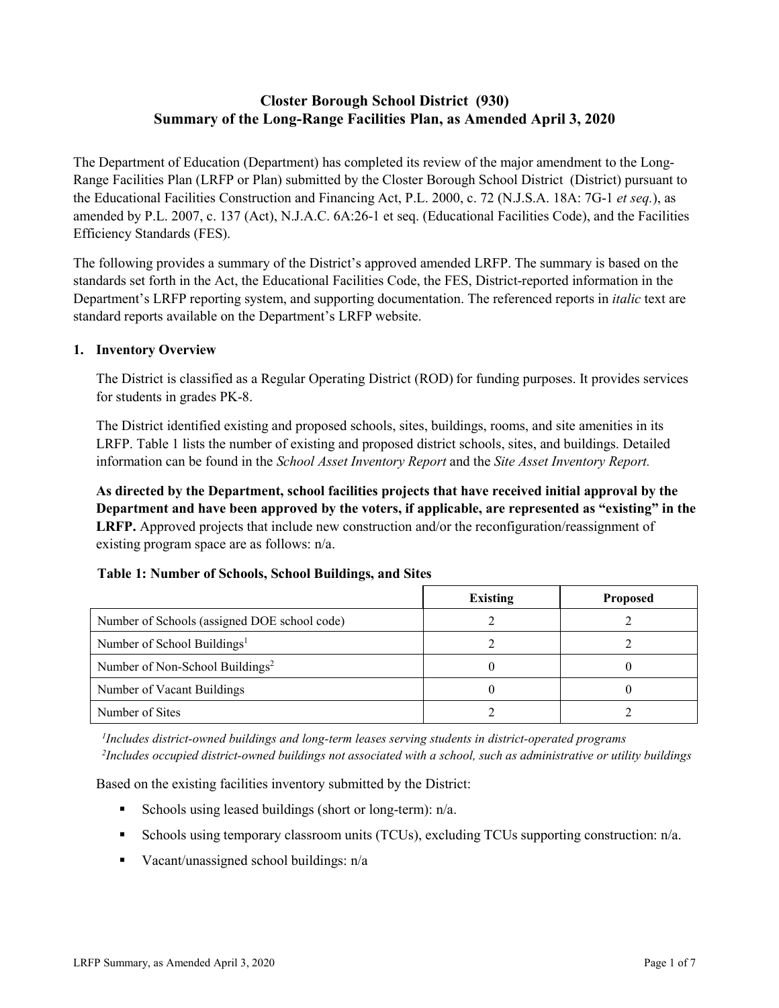# **Closter Borough School District (930) Summary of the Long-Range Facilities Plan, as Amended April 3, 2020**

The Department of Education (Department) has completed its review of the major amendment to the Long-Range Facilities Plan (LRFP or Plan) submitted by the Closter Borough School District (District) pursuant to the Educational Facilities Construction and Financing Act, P.L. 2000, c. 72 (N.J.S.A. 18A: 7G-1 *et seq.*), as amended by P.L. 2007, c. 137 (Act), N.J.A.C. 6A:26-1 et seq. (Educational Facilities Code), and the Facilities Efficiency Standards (FES).

The following provides a summary of the District's approved amended LRFP. The summary is based on the standards set forth in the Act, the Educational Facilities Code, the FES, District-reported information in the Department's LRFP reporting system, and supporting documentation. The referenced reports in *italic* text are standard reports available on the Department's LRFP website.

### **1. Inventory Overview**

The District is classified as a Regular Operating District (ROD) for funding purposes. It provides services for students in grades PK-8.

The District identified existing and proposed schools, sites, buildings, rooms, and site amenities in its LRFP. Table 1 lists the number of existing and proposed district schools, sites, and buildings. Detailed information can be found in the *School Asset Inventory Report* and the *Site Asset Inventory Report.*

**As directed by the Department, school facilities projects that have received initial approval by the Department and have been approved by the voters, if applicable, are represented as "existing" in the LRFP.** Approved projects that include new construction and/or the reconfiguration/reassignment of existing program space are as follows: n/a.

|  |  | Table 1: Number of Schools, School Buildings, and Sites |  |
|--|--|---------------------------------------------------------|--|
|--|--|---------------------------------------------------------|--|

|                                              | <b>Existing</b> | <b>Proposed</b> |
|----------------------------------------------|-----------------|-----------------|
| Number of Schools (assigned DOE school code) |                 |                 |
| Number of School Buildings <sup>1</sup>      |                 |                 |
| Number of Non-School Buildings <sup>2</sup>  |                 |                 |
| Number of Vacant Buildings                   |                 |                 |
| Number of Sites                              |                 |                 |

*1 Includes district-owned buildings and long-term leases serving students in district-operated programs 2 Includes occupied district-owned buildings not associated with a school, such as administrative or utility buildings*

Based on the existing facilities inventory submitted by the District:

- Schools using leased buildings (short or long-term):  $n/a$ .
- Schools using temporary classroom units (TCUs), excluding TCUs supporting construction: n/a.
- Vacant/unassigned school buildings:  $n/a$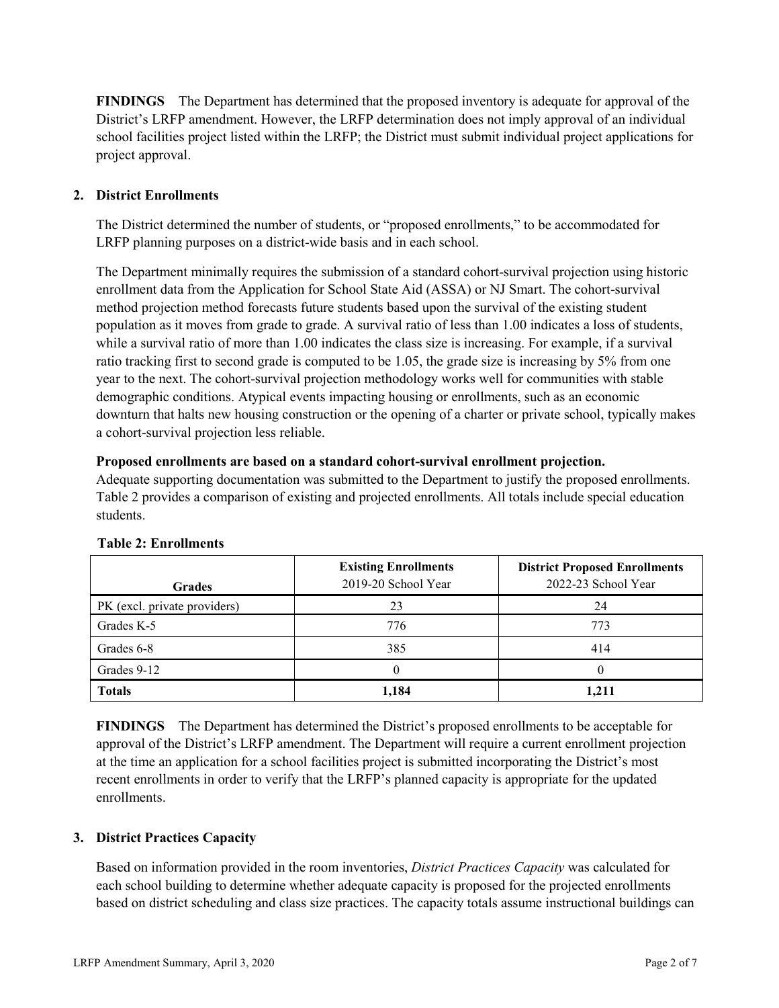**FINDINGS** The Department has determined that the proposed inventory is adequate for approval of the District's LRFP amendment. However, the LRFP determination does not imply approval of an individual school facilities project listed within the LRFP; the District must submit individual project applications for project approval.

# **2. District Enrollments**

The District determined the number of students, or "proposed enrollments," to be accommodated for LRFP planning purposes on a district-wide basis and in each school.

The Department minimally requires the submission of a standard cohort-survival projection using historic enrollment data from the Application for School State Aid (ASSA) or NJ Smart. The cohort-survival method projection method forecasts future students based upon the survival of the existing student population as it moves from grade to grade. A survival ratio of less than 1.00 indicates a loss of students, while a survival ratio of more than 1.00 indicates the class size is increasing. For example, if a survival ratio tracking first to second grade is computed to be 1.05, the grade size is increasing by 5% from one year to the next. The cohort-survival projection methodology works well for communities with stable demographic conditions. Atypical events impacting housing or enrollments, such as an economic downturn that halts new housing construction or the opening of a charter or private school, typically makes a cohort-survival projection less reliable.

#### **Proposed enrollments are based on a standard cohort-survival enrollment projection.**

Adequate supporting documentation was submitted to the Department to justify the proposed enrollments. Table 2 provides a comparison of existing and projected enrollments. All totals include special education students.

| <b>Grades</b>                | <b>Existing Enrollments</b><br>2019-20 School Year | <b>District Proposed Enrollments</b><br>2022-23 School Year |
|------------------------------|----------------------------------------------------|-------------------------------------------------------------|
| PK (excl. private providers) | 23                                                 | 24                                                          |
| Grades K-5                   | 776                                                | 773                                                         |
| Grades 6-8                   | 385                                                | 414                                                         |
| Grades 9-12                  |                                                    |                                                             |
| <b>Totals</b>                | 1,184                                              | 1,211                                                       |

#### **Table 2: Enrollments**

**FINDINGS** The Department has determined the District's proposed enrollments to be acceptable for approval of the District's LRFP amendment. The Department will require a current enrollment projection at the time an application for a school facilities project is submitted incorporating the District's most recent enrollments in order to verify that the LRFP's planned capacity is appropriate for the updated enrollments.

#### **3. District Practices Capacity**

Based on information provided in the room inventories, *District Practices Capacity* was calculated for each school building to determine whether adequate capacity is proposed for the projected enrollments based on district scheduling and class size practices. The capacity totals assume instructional buildings can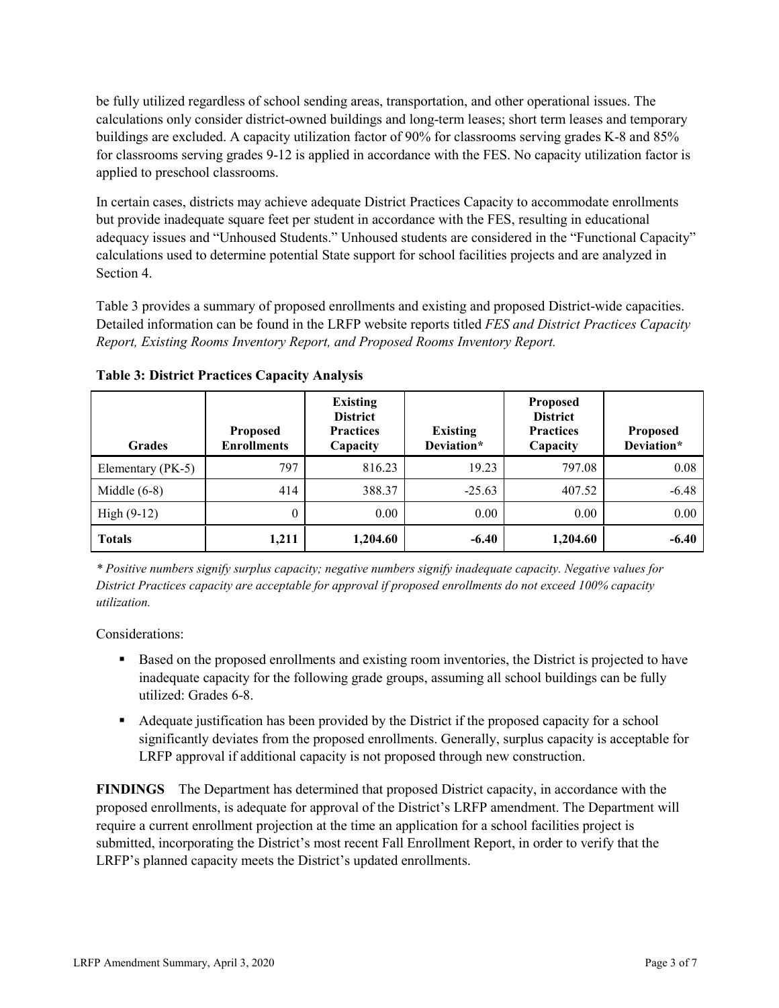be fully utilized regardless of school sending areas, transportation, and other operational issues. The calculations only consider district-owned buildings and long-term leases; short term leases and temporary buildings are excluded. A capacity utilization factor of 90% for classrooms serving grades K-8 and 85% for classrooms serving grades 9-12 is applied in accordance with the FES. No capacity utilization factor is applied to preschool classrooms.

In certain cases, districts may achieve adequate District Practices Capacity to accommodate enrollments but provide inadequate square feet per student in accordance with the FES, resulting in educational adequacy issues and "Unhoused Students." Unhoused students are considered in the "Functional Capacity" calculations used to determine potential State support for school facilities projects and are analyzed in Section 4.

Table 3 provides a summary of proposed enrollments and existing and proposed District-wide capacities. Detailed information can be found in the LRFP website reports titled *FES and District Practices Capacity Report, Existing Rooms Inventory Report, and Proposed Rooms Inventory Report.*

| <b>Grades</b>     | <b>Proposed</b><br><b>Enrollments</b> | <b>Existing</b><br><b>District</b><br><b>Practices</b><br>Capacity | <b>Existing</b><br>Deviation* | <b>Proposed</b><br><b>District</b><br><b>Practices</b><br>Capacity | <b>Proposed</b><br>Deviation* |
|-------------------|---------------------------------------|--------------------------------------------------------------------|-------------------------------|--------------------------------------------------------------------|-------------------------------|
| Elementary (PK-5) | 797                                   | 816.23                                                             | 19.23                         | 797.08                                                             | 0.08                          |
| Middle $(6-8)$    | 414                                   | 388.37                                                             | $-25.63$                      | 407.52                                                             | $-6.48$                       |
| High $(9-12)$     | $\theta$                              | 0.00                                                               | 0.00                          | 0.00                                                               | 0.00                          |
| <b>Totals</b>     | 1,211                                 | 1,204.60                                                           | $-6.40$                       | 1,204.60                                                           | $-6.40$                       |

**Table 3: District Practices Capacity Analysis**

*\* Positive numbers signify surplus capacity; negative numbers signify inadequate capacity. Negative values for District Practices capacity are acceptable for approval if proposed enrollments do not exceed 100% capacity utilization.*

Considerations:

- **Based on the proposed enrollments and existing room inventories, the District is projected to have** inadequate capacity for the following grade groups, assuming all school buildings can be fully utilized: Grades 6-8.
- Adequate justification has been provided by the District if the proposed capacity for a school significantly deviates from the proposed enrollments. Generally, surplus capacity is acceptable for LRFP approval if additional capacity is not proposed through new construction.

**FINDINGS**The Department has determined that proposed District capacity, in accordance with the proposed enrollments, is adequate for approval of the District's LRFP amendment. The Department will require a current enrollment projection at the time an application for a school facilities project is submitted, incorporating the District's most recent Fall Enrollment Report, in order to verify that the LRFP's planned capacity meets the District's updated enrollments.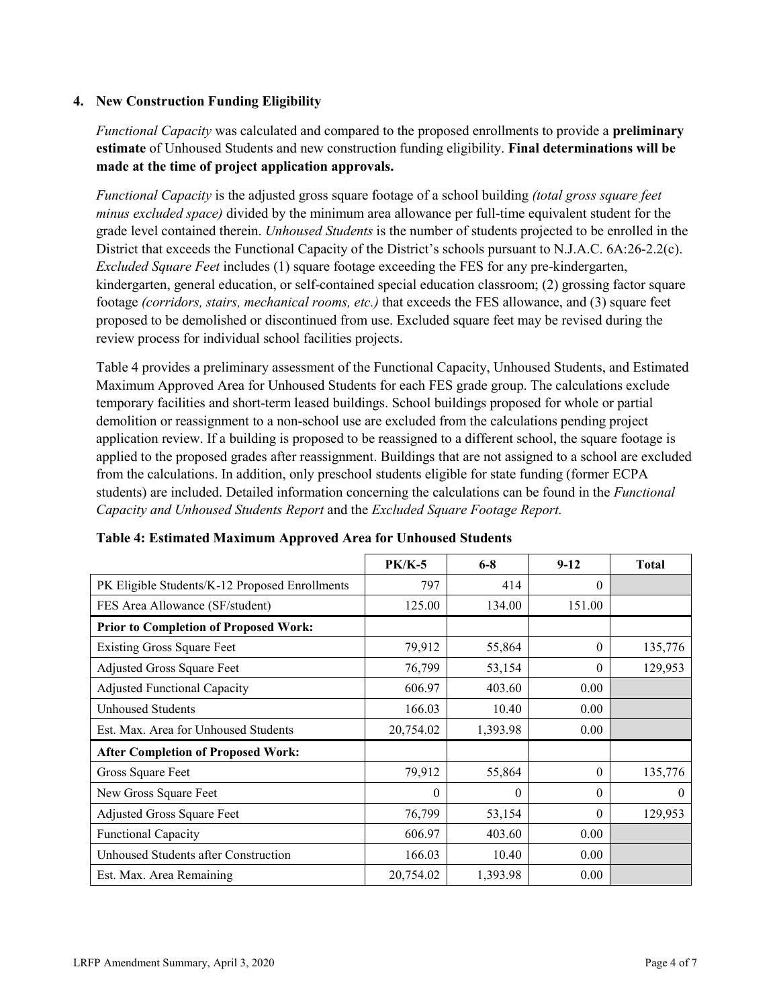### **4. New Construction Funding Eligibility**

*Functional Capacity* was calculated and compared to the proposed enrollments to provide a **preliminary estimate** of Unhoused Students and new construction funding eligibility. **Final determinations will be made at the time of project application approvals.**

*Functional Capacity* is the adjusted gross square footage of a school building *(total gross square feet minus excluded space)* divided by the minimum area allowance per full-time equivalent student for the grade level contained therein. *Unhoused Students* is the number of students projected to be enrolled in the District that exceeds the Functional Capacity of the District's schools pursuant to N.J.A.C. 6A:26-2.2(c). *Excluded Square Feet* includes (1) square footage exceeding the FES for any pre-kindergarten, kindergarten, general education, or self-contained special education classroom; (2) grossing factor square footage *(corridors, stairs, mechanical rooms, etc.)* that exceeds the FES allowance, and (3) square feet proposed to be demolished or discontinued from use. Excluded square feet may be revised during the review process for individual school facilities projects.

Table 4 provides a preliminary assessment of the Functional Capacity, Unhoused Students, and Estimated Maximum Approved Area for Unhoused Students for each FES grade group. The calculations exclude temporary facilities and short-term leased buildings. School buildings proposed for whole or partial demolition or reassignment to a non-school use are excluded from the calculations pending project application review. If a building is proposed to be reassigned to a different school, the square footage is applied to the proposed grades after reassignment. Buildings that are not assigned to a school are excluded from the calculations. In addition, only preschool students eligible for state funding (former ECPA students) are included. Detailed information concerning the calculations can be found in the *Functional Capacity and Unhoused Students Report* and the *Excluded Square Footage Report.*

|                                                | <b>PK/K-5</b> | $6 - 8$  | $9 - 12$ | <b>Total</b> |
|------------------------------------------------|---------------|----------|----------|--------------|
| PK Eligible Students/K-12 Proposed Enrollments | 797           | 414      | $\theta$ |              |
| FES Area Allowance (SF/student)                | 125.00        | 134.00   | 151.00   |              |
| <b>Prior to Completion of Proposed Work:</b>   |               |          |          |              |
| <b>Existing Gross Square Feet</b>              | 79,912        | 55,864   | $\theta$ | 135,776      |
| Adjusted Gross Square Feet                     | 76,799        | 53,154   | $\theta$ | 129,953      |
| <b>Adjusted Functional Capacity</b>            | 606.97        | 403.60   | 0.00     |              |
| <b>Unhoused Students</b>                       | 166.03        | 10.40    | 0.00     |              |
| Est. Max. Area for Unhoused Students           | 20,754.02     | 1,393.98 | 0.00     |              |
| <b>After Completion of Proposed Work:</b>      |               |          |          |              |
| Gross Square Feet                              | 79,912        | 55,864   | $\theta$ | 135,776      |
| New Gross Square Feet                          | $\theta$      | 0        | $\theta$ | $\theta$     |
| Adjusted Gross Square Feet                     | 76,799        | 53,154   | $\Omega$ | 129,953      |
| Functional Capacity                            | 606.97        | 403.60   | 0.00     |              |
| Unhoused Students after Construction           | 166.03        | 10.40    | 0.00     |              |
| Est. Max. Area Remaining                       | 20,754.02     | 1,393.98 | 0.00     |              |

**Table 4: Estimated Maximum Approved Area for Unhoused Students**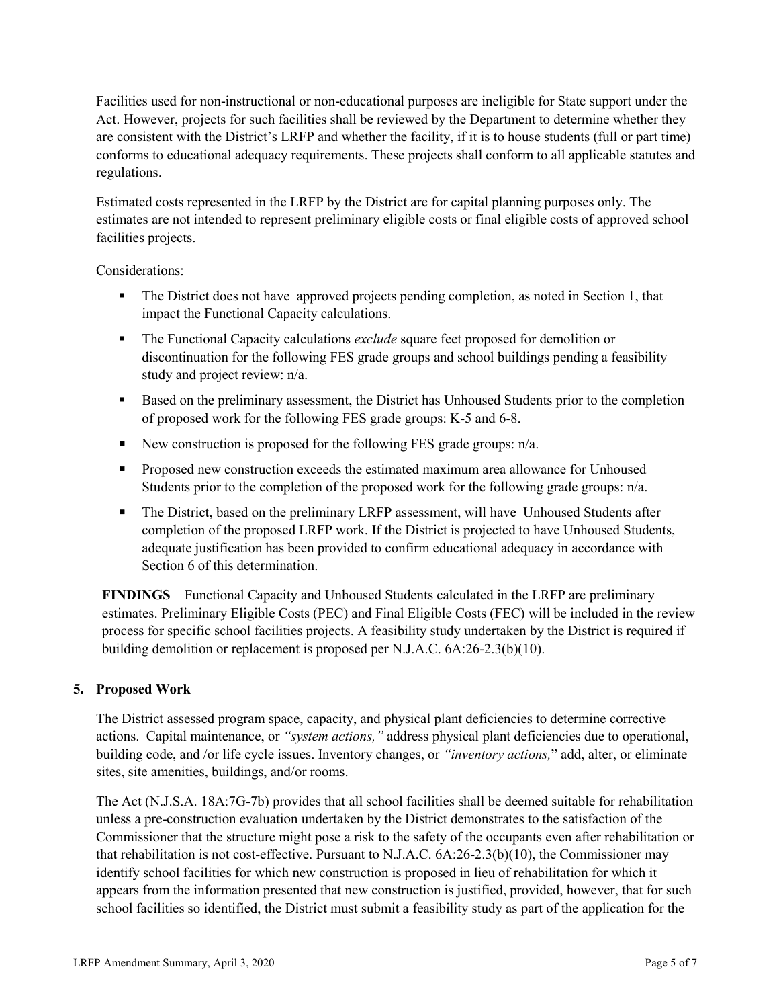Facilities used for non-instructional or non-educational purposes are ineligible for State support under the Act. However, projects for such facilities shall be reviewed by the Department to determine whether they are consistent with the District's LRFP and whether the facility, if it is to house students (full or part time) conforms to educational adequacy requirements. These projects shall conform to all applicable statutes and regulations.

Estimated costs represented in the LRFP by the District are for capital planning purposes only. The estimates are not intended to represent preliminary eligible costs or final eligible costs of approved school facilities projects.

Considerations:

- The District does not have approved projects pending completion, as noted in Section 1, that impact the Functional Capacity calculations.
- The Functional Capacity calculations *exclude* square feet proposed for demolition or discontinuation for the following FES grade groups and school buildings pending a feasibility study and project review: n/a.
- Based on the preliminary assessment, the District has Unhoused Students prior to the completion of proposed work for the following FES grade groups: K-5 and 6-8.
- New construction is proposed for the following FES grade groups:  $n/a$ .
- **Proposed new construction exceeds the estimated maximum area allowance for Unhoused** Students prior to the completion of the proposed work for the following grade groups:  $n/a$ .
- The District, based on the preliminary LRFP assessment, will have Unhoused Students after completion of the proposed LRFP work. If the District is projected to have Unhoused Students, adequate justification has been provided to confirm educational adequacy in accordance with Section 6 of this determination.

**FINDINGS** Functional Capacity and Unhoused Students calculated in the LRFP are preliminary estimates. Preliminary Eligible Costs (PEC) and Final Eligible Costs (FEC) will be included in the review process for specific school facilities projects. A feasibility study undertaken by the District is required if building demolition or replacement is proposed per N.J.A.C. 6A:26-2.3(b)(10).

# **5. Proposed Work**

The District assessed program space, capacity, and physical plant deficiencies to determine corrective actions. Capital maintenance, or *"system actions,"* address physical plant deficiencies due to operational, building code, and /or life cycle issues. Inventory changes, or *"inventory actions,*" add, alter, or eliminate sites, site amenities, buildings, and/or rooms.

The Act (N.J.S.A. 18A:7G-7b) provides that all school facilities shall be deemed suitable for rehabilitation unless a pre-construction evaluation undertaken by the District demonstrates to the satisfaction of the Commissioner that the structure might pose a risk to the safety of the occupants even after rehabilitation or that rehabilitation is not cost-effective. Pursuant to N.J.A.C. 6A:26-2.3(b)(10), the Commissioner may identify school facilities for which new construction is proposed in lieu of rehabilitation for which it appears from the information presented that new construction is justified, provided, however, that for such school facilities so identified, the District must submit a feasibility study as part of the application for the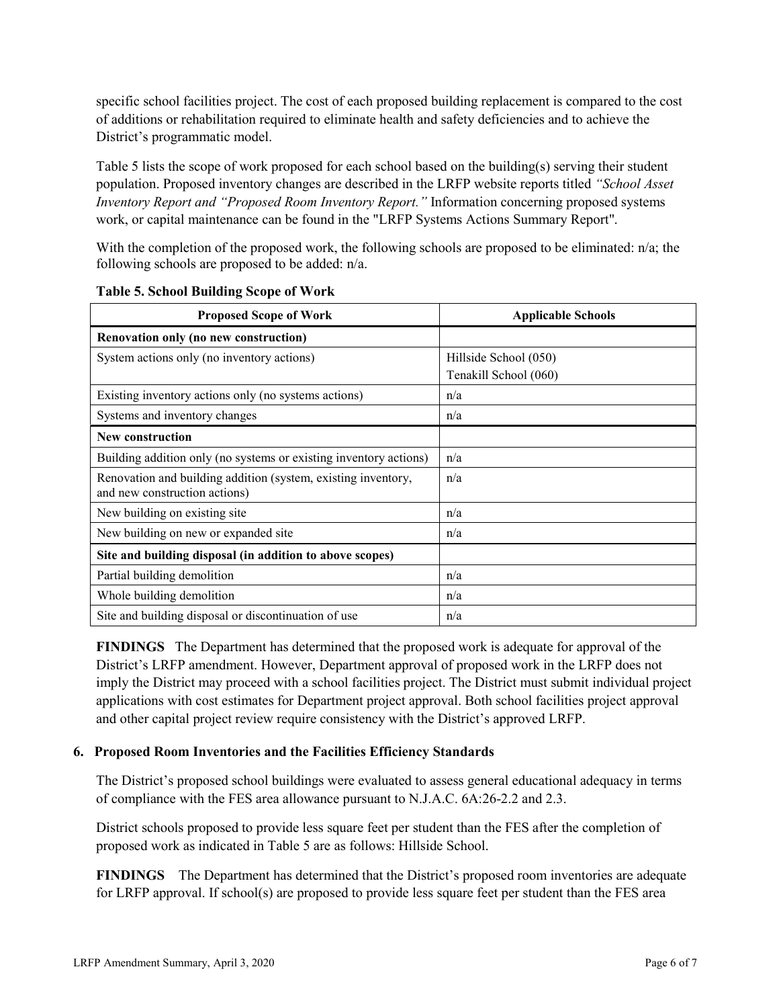specific school facilities project. The cost of each proposed building replacement is compared to the cost of additions or rehabilitation required to eliminate health and safety deficiencies and to achieve the District's programmatic model.

Table 5 lists the scope of work proposed for each school based on the building(s) serving their student population. Proposed inventory changes are described in the LRFP website reports titled *"School Asset Inventory Report and "Proposed Room Inventory Report."* Information concerning proposed systems work, or capital maintenance can be found in the "LRFP Systems Actions Summary Report".

With the completion of the proposed work, the following schools are proposed to be eliminated: n/a; the following schools are proposed to be added: n/a.

| <b>Proposed Scope of Work</b>                                                                  | <b>Applicable Schools</b>                      |  |  |
|------------------------------------------------------------------------------------------------|------------------------------------------------|--|--|
| Renovation only (no new construction)                                                          |                                                |  |  |
| System actions only (no inventory actions)                                                     | Hillside School (050)<br>Tenakill School (060) |  |  |
| Existing inventory actions only (no systems actions)                                           | n/a                                            |  |  |
| Systems and inventory changes                                                                  | n/a                                            |  |  |
| <b>New construction</b>                                                                        |                                                |  |  |
| Building addition only (no systems or existing inventory actions)                              | n/a                                            |  |  |
| Renovation and building addition (system, existing inventory,<br>and new construction actions) | n/a                                            |  |  |
| New building on existing site                                                                  | n/a                                            |  |  |
| New building on new or expanded site.                                                          | n/a                                            |  |  |
| Site and building disposal (in addition to above scopes)                                       |                                                |  |  |
| Partial building demolition                                                                    | n/a                                            |  |  |
| Whole building demolition                                                                      | n/a                                            |  |  |
| Site and building disposal or discontinuation of use                                           | n/a                                            |  |  |

**Table 5. School Building Scope of Work**

**FINDINGS** The Department has determined that the proposed work is adequate for approval of the District's LRFP amendment. However, Department approval of proposed work in the LRFP does not imply the District may proceed with a school facilities project. The District must submit individual project applications with cost estimates for Department project approval. Both school facilities project approval and other capital project review require consistency with the District's approved LRFP.

#### **6. Proposed Room Inventories and the Facilities Efficiency Standards**

The District's proposed school buildings were evaluated to assess general educational adequacy in terms of compliance with the FES area allowance pursuant to N.J.A.C. 6A:26-2.2 and 2.3.

District schools proposed to provide less square feet per student than the FES after the completion of proposed work as indicated in Table 5 are as follows: Hillside School.

**FINDINGS** The Department has determined that the District's proposed room inventories are adequate for LRFP approval. If school(s) are proposed to provide less square feet per student than the FES area